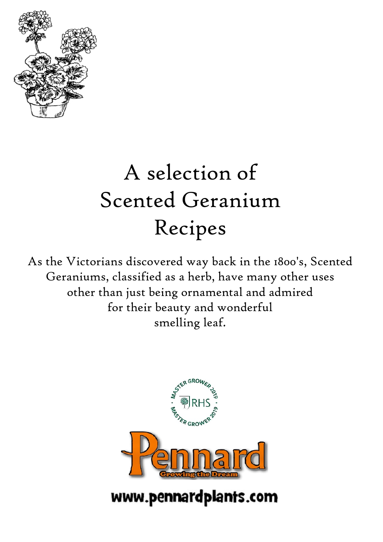

# A selection of Scented Geranium Recipes

As the Victorians discovered way back in the 1800's, Scented Geraniums, classified as a herb, have many other uses other than just being ornamental and admired for their beauty and wonderful smelling leaf.



www.pennardplants.com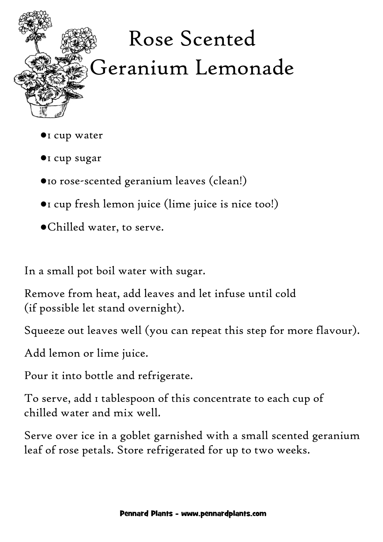

- ●1 cup water
- ●1 cup sugar
- ●10 rose-scented geranium leaves (clean!)
- ●1 cup fresh lemon juice (lime juice is nice too!)
- ●Chilled water, to serve.

In a small pot boil water with sugar.

Remove from heat, add leaves and let infuse until cold (if possible let stand overnight).

Squeeze out leaves well (you can repeat this step for more flavour).

Add lemon or lime juice.

Pour it into bottle and refrigerate.

To serve, add 1 tablespoon of this concentrate to each cup of chilled water and mix well.

Serve over ice in a goblet garnished with a small scented geranium leaf of rose petals. Store refrigerated for up to two weeks.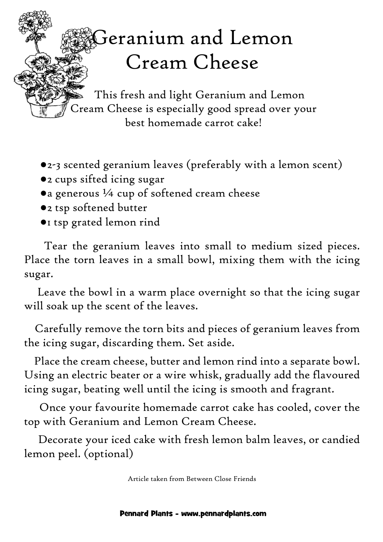## Geranium and Lemon Cream Cheese

 This fresh and light Geranium and Lemon Cream Cheese is especially good spread over your best homemade carrot cake!

- ●2-3 scented geranium leaves (preferably with a lemon scent)
- ●2 cups sifted icing sugar
- ●a generous ¼ cup of softened cream cheese
- ●2 tsp softened butter
- ●1 tsp grated lemon rind

 Tear the geranium leaves into small to medium sized pieces. Place the torn leaves in a small bowl, mixing them with the icing sugar.

 Leave the bowl in a warm place overnight so that the icing sugar will soak up the scent of the leaves.

 Carefully remove the torn bits and pieces of geranium leaves from the icing sugar, discarding them. Set aside.

 Place the cream cheese, butter and lemon rind into a separate bowl. Using an electric beater or a wire whisk, gradually add the flavoured icing sugar, beating well until the icing is smooth and fragrant.

 Once your favourite homemade carrot cake has cooled, cover the top with Geranium and Lemon Cream Cheese.

 Decorate your iced cake with fresh lemon balm leaves, or candied lemon peel. (optional)

Article taken from Between Close Friends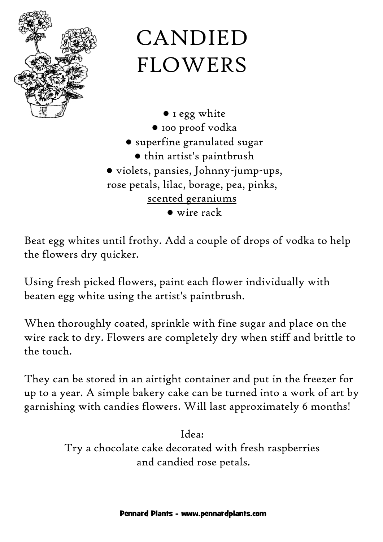

# CANDIED FLOWERS

● 1 egg white ● 100 proof vodka ● superfine granulated sugar ● thin artist's paintbrush ● violets, pansies, Johnny-jump-ups, rose petals, lilac, borage, pea, pinks, scented geraniums ● wire rack

Beat egg whites until frothy. Add a couple of drops of vodka to help the flowers dry quicker.

Using fresh picked flowers, paint each flower individually with beaten egg white using the artist's paintbrush.

When thoroughly coated, sprinkle with fine sugar and place on the wire rack to dry. Flowers are completely dry when stiff and brittle to the touch.

They can be stored in an airtight container and put in the freezer for up to a year. A simple bakery cake can be turned into a work of art by garnishing with candies flowers. Will last approximately 6 months!

> Idea: Try a chocolate cake decorated with fresh raspberries and candied rose petals.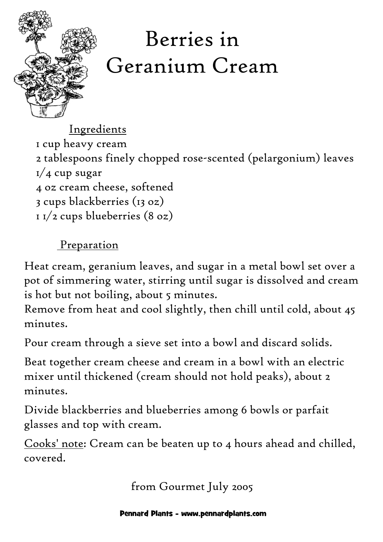

# Berries in Geranium Cream

Ingredients

 1 cup heavy cream 2 tablespoons finely chopped rose-scented (pelargonium) leaves  $1/4$  cup sugar 4 oz cream cheese, softened 3 cups blackberries (13 oz)  $11/2$  cups blueberries  $(8 oz)$ 

### Preparation

Heat cream, geranium leaves, and sugar in a metal bowl set over a pot of simmering water, stirring until sugar is dissolved and cream is hot but not boiling, about 5 minutes.

Remove from heat and cool slightly, then chill until cold, about 45 minutes.

Pour cream through a sieve set into a bowl and discard solids.

Beat together cream cheese and cream in a bowl with an electric mixer until thickened (cream should not hold peaks), about 2 minutes.

Divide blackberries and blueberries among 6 bowls or parfait glasses and top with cream.

Cooks' note: Cream can be beaten up to 4 hours ahead and chilled, covered.

from Gourmet July 2005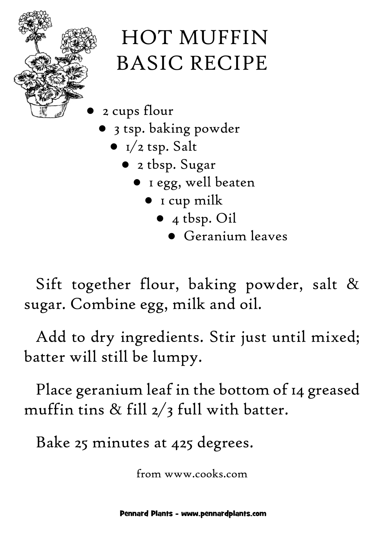

- 2 cups flour
	- 3 tsp. baking powder
		- $\bullet$  I/2 tsp. Salt
			- 2 tbsp. Sugar
				- 1 egg, well beaten
					- 1 cup milk
						- 4 tbsp. Oil
							- Geranium leaves

Sift together flour, baking powder, salt & sugar. Combine egg, milk and oil.

Add to dry ingredients. Stir just until mixed; batter will still be lumpy.

Place geranium leaf in the bottom of 14 greased muffin tins  $\&$  fill  $2/3$  full with batter.

Bake 25 minutes at 425 degrees.

from www.cooks.com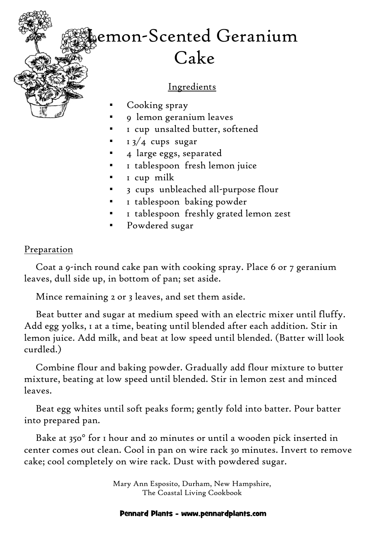## emon-Scented Geranium Cake

#### Ingredients

- Cooking spray
- 9 lemon geranium leaves
- 1 cup unsalted butter, softened
- $13/4$  cups sugar
- 4 large eggs, separated
- 1 tablespoon fresh lemon juice
- 1 cup milk
- 3 cups unbleached all-purpose flour
- 1 tablespoon baking powder
- 1 tablespoon freshly grated lemon zest
- Powdered sugar

### Preparation

Coat a 9-inch round cake pan with cooking spray. Place 6 or 7 geranium leaves, dull side up, in bottom of pan; set aside.

Mince remaining 2 or 3 leaves, and set them aside.

Beat butter and sugar at medium speed with an electric mixer until fluffy. Add egg yolks, 1 at a time, beating until blended after each addition. Stir in lemon juice. Add milk, and beat at low speed until blended. (Batter will look curdled.)

Combine flour and baking powder. Gradually add flour mixture to butter mixture, beating at low speed until blended. Stir in lemon zest and minced leaves.

Beat egg whites until soft peaks form; gently fold into batter. Pour batter into prepared pan.

Bake at 350° for 1 hour and 20 minutes or until a wooden pick inserted in center comes out clean. Cool in pan on wire rack 30 minutes. Invert to remove cake; cool completely on wire rack. Dust with powdered sugar.

> Mary Ann Esposito, Durham, New Hampshire, The Coastal Living Cookbook

#### Pennard Plants - www.pennardplants.com